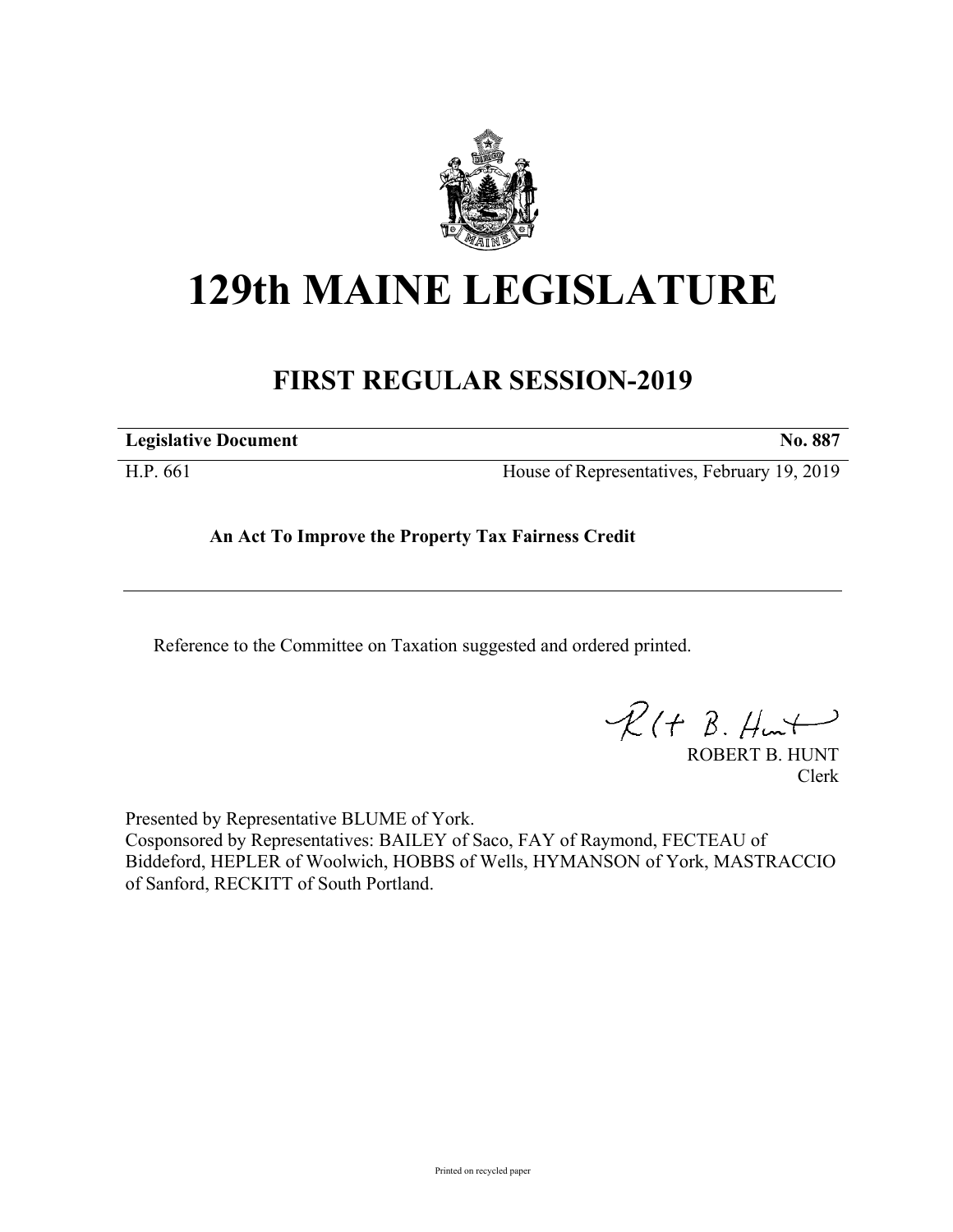

## **129th MAINE LEGISLATURE**

## **FIRST REGULAR SESSION-2019**

**Legislative Document No. 887**

H.P. 661 House of Representatives, February 19, 2019

**An Act To Improve the Property Tax Fairness Credit**

Reference to the Committee on Taxation suggested and ordered printed.

 $R(H B. Hmt)$ 

ROBERT B. HUNT Clerk

Presented by Representative BLUME of York. Cosponsored by Representatives: BAILEY of Saco, FAY of Raymond, FECTEAU of Biddeford, HEPLER of Woolwich, HOBBS of Wells, HYMANSON of York, MASTRACCIO of Sanford, RECKITT of South Portland.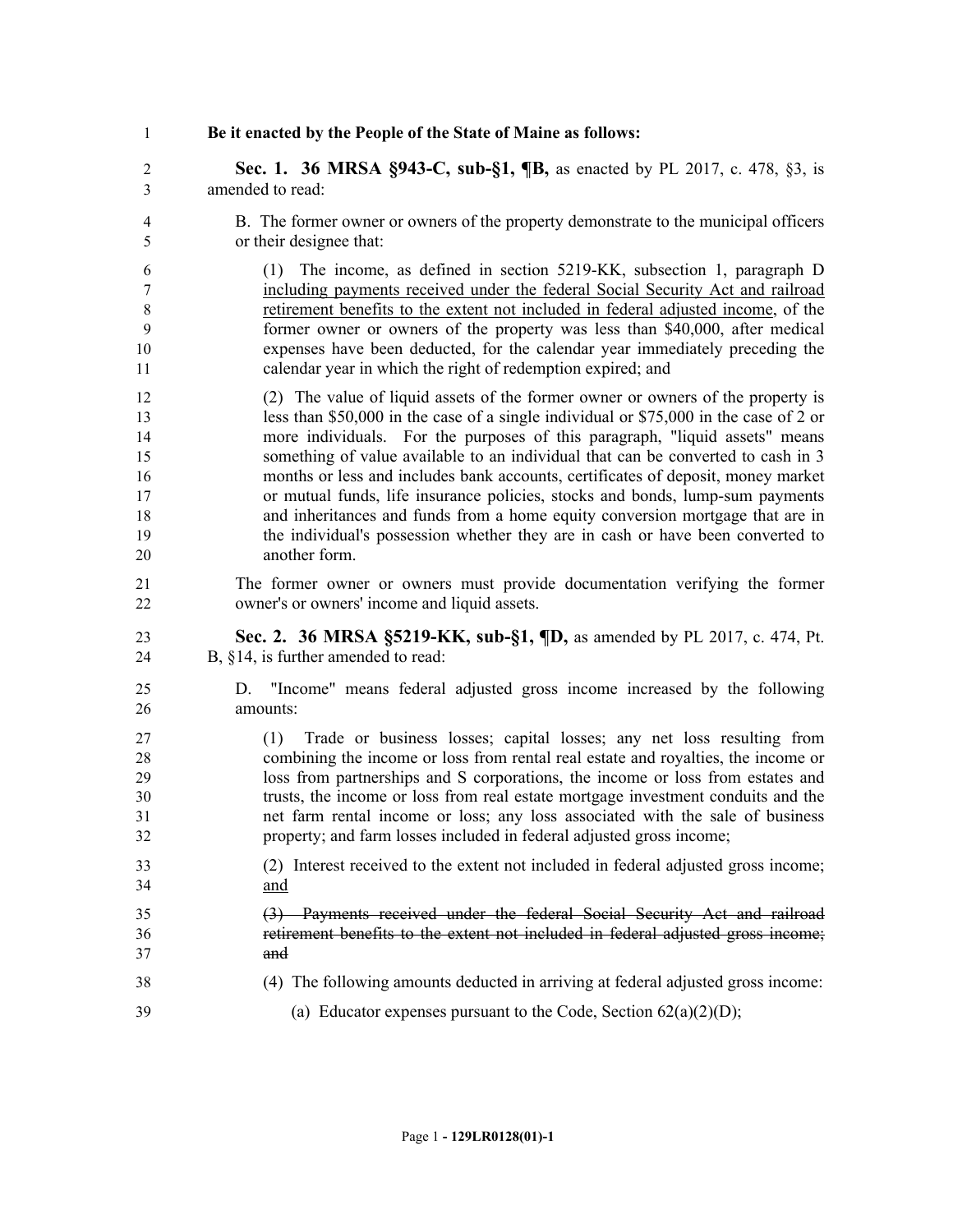## **Be it enacted by the People of the State of Maine as follows:**

 **Sec. 1. 36 MRSA §943-C, sub-§1, ¶B,** as enacted by PL 2017, c. 478, §3, is amended to read:

 B. The former owner or owners of the property demonstrate to the municipal officers or their designee that:

 (1) The income, as defined in section 5219-KK, subsection 1, paragraph D including payments received under the federal Social Security Act and railroad retirement benefits to the extent not included in federal adjusted income, of the former owner or owners of the property was less than \$40,000, after medical expenses have been deducted, for the calendar year immediately preceding the calendar year in which the right of redemption expired; and

- (2) The value of liquid assets of the former owner or owners of the property is less than \$50,000 in the case of a single individual or \$75,000 in the case of 2 or more individuals. For the purposes of this paragraph, "liquid assets" means something of value available to an individual that can be converted to cash in 3 months or less and includes bank accounts, certificates of deposit, money market or mutual funds, life insurance policies, stocks and bonds, lump-sum payments and inheritances and funds from a home equity conversion mortgage that are in the individual's possession whether they are in cash or have been converted to another form.
- The former owner or owners must provide documentation verifying the former owner's or owners' income and liquid assets.
- **Sec. 2. 36 MRSA §5219-KK, sub-§1, ¶D,** as amended by PL 2017, c. 474, Pt. B, §14, is further amended to read:
- D. "Income" means federal adjusted gross income increased by the following amounts:
- (1) Trade or business losses; capital losses; any net loss resulting from combining the income or loss from rental real estate and royalties, the income or loss from partnerships and S corporations, the income or loss from estates and trusts, the income or loss from real estate mortgage investment conduits and the net farm rental income or loss; any loss associated with the sale of business property; and farm losses included in federal adjusted gross income;
- (2) Interest received to the extent not included in federal adjusted gross income; and
- (3) Payments received under the federal Social Security Act and railroad retirement benefits to the extent not included in federal adjusted gross income; and
- (4) The following amounts deducted in arriving at federal adjusted gross income:
- 39 (a) Educator expenses pursuant to the Code, Section  $62(a)(2)(D)$ ;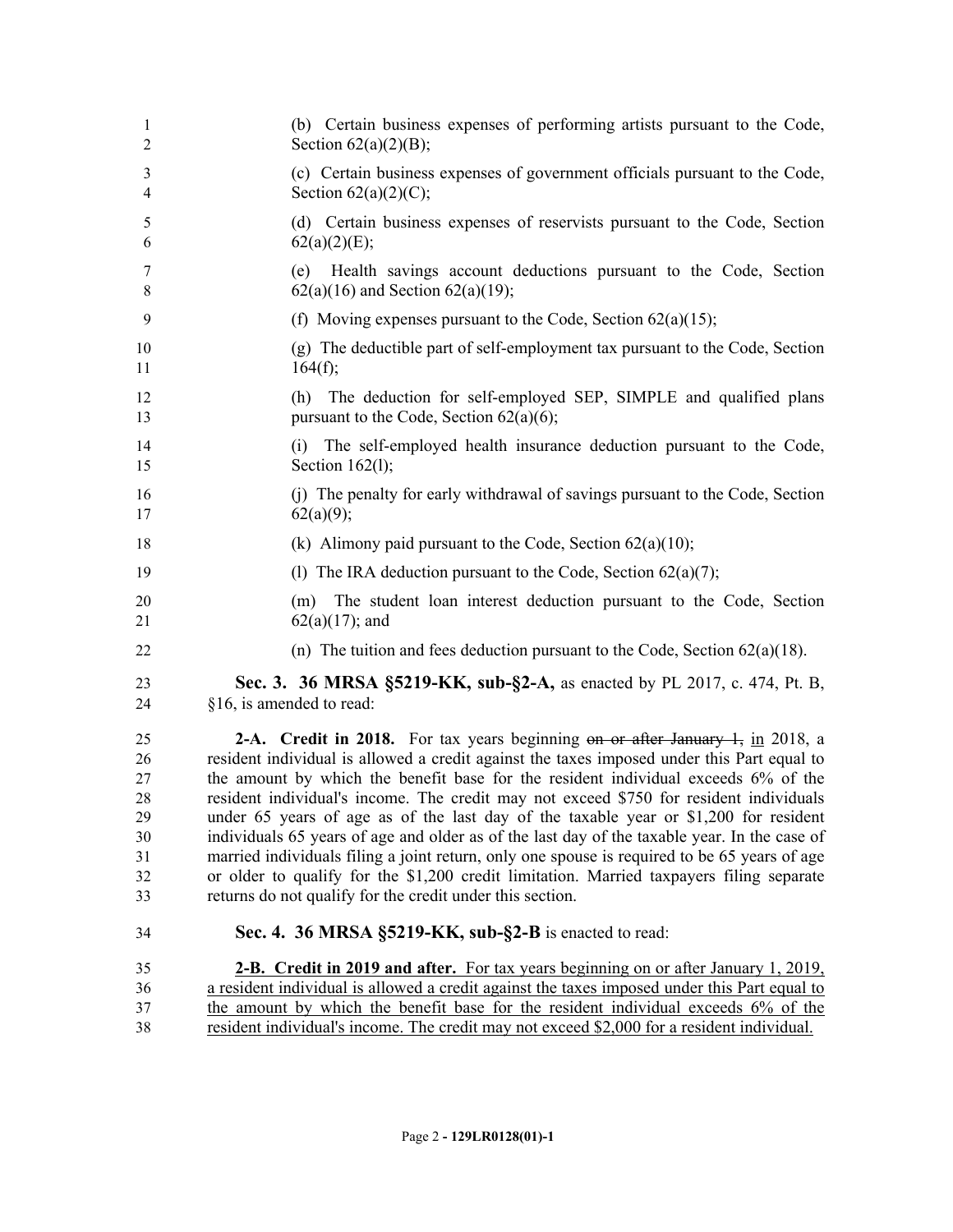| 1<br>$\overline{2}$ | (b) Certain business expenses of performing artists pursuant to the Code,<br>Section $62(a)(2)(B)$ ;                                                                           |
|---------------------|--------------------------------------------------------------------------------------------------------------------------------------------------------------------------------|
| 3<br>4              | (c) Certain business expenses of government officials pursuant to the Code,<br>Section $62(a)(2)(C)$ ;                                                                         |
| 5<br>6              | (d) Certain business expenses of reservists pursuant to the Code, Section<br>62(a)(2)(E);                                                                                      |
| 7<br>8              | Health savings account deductions pursuant to the Code, Section<br>(e)<br>$62(a)(16)$ and Section $62(a)(19)$ ;                                                                |
| 9                   | (f) Moving expenses pursuant to the Code, Section $62(a)(15)$ ;                                                                                                                |
| 10<br>11            | (g) The deductible part of self-employment tax pursuant to the Code, Section<br>164(f);                                                                                        |
| 12<br>13            | The deduction for self-employed SEP, SIMPLE and qualified plans<br>(h)<br>pursuant to the Code, Section $62(a)(6)$ ;                                                           |
| 14<br>15            | (i) The self-employed health insurance deduction pursuant to the Code,<br>Section $162(1)$ ;                                                                                   |
| 16<br>17            | (j) The penalty for early withdrawal of savings pursuant to the Code, Section<br>62(a)(9);                                                                                     |
| 18                  | (k) Alimony paid pursuant to the Code, Section $62(a)(10)$ ;                                                                                                                   |
| 19                  | (1) The IRA deduction pursuant to the Code, Section $62(a)(7)$ ;                                                                                                               |
| 20<br>21            | The student loan interest deduction pursuant to the Code, Section<br>(m)<br>$62(a)(17)$ ; and                                                                                  |
| 22                  | (n) The tuition and fees deduction pursuant to the Code, Section $62(a)(18)$ .                                                                                                 |
| 23<br>24            | Sec. 3. 36 MRSA §5219-KK, sub-§2-A, as enacted by PL 2017, c. 474, Pt. B,<br>§16, is amended to read:                                                                          |
| 25                  | <b>2-A.</b> Credit in 2018. For tax years beginning on or after January $\frac{1}{2}$ , in 2018, a                                                                             |
| 26                  | resident individual is allowed a credit against the taxes imposed under this Part equal to                                                                                     |
| 27                  | the amount by which the benefit base for the resident individual exceeds 6% of the                                                                                             |
| 28<br>29            | resident individual's income. The credit may not exceed \$750 for resident individuals<br>under 65 years of age as of the last day of the taxable year or \$1,200 for resident |
| 30                  | individuals 65 years of age and older as of the last day of the taxable year. In the case of                                                                                   |
| 31                  | married individuals filing a joint return, only one spouse is required to be 65 years of age                                                                                   |
| 32                  | or older to qualify for the \$1,200 credit limitation. Married taxpayers filing separate                                                                                       |
| 33                  | returns do not qualify for the credit under this section.                                                                                                                      |
| 34                  | Sec. 4. 36 MRSA §5219-KK, sub-§2-B is enacted to read:                                                                                                                         |
| 35                  | <b>2-B.</b> Credit in 2019 and after. For tax years beginning on or after January 1, 2019,                                                                                     |
| 36                  | a resident individual is allowed a credit against the taxes imposed under this Part equal to                                                                                   |
| 37                  | the amount by which the benefit base for the resident individual exceeds 6% of the                                                                                             |
| 38                  | resident individual's income. The credit may not exceed \$2,000 for a resident individual.                                                                                     |